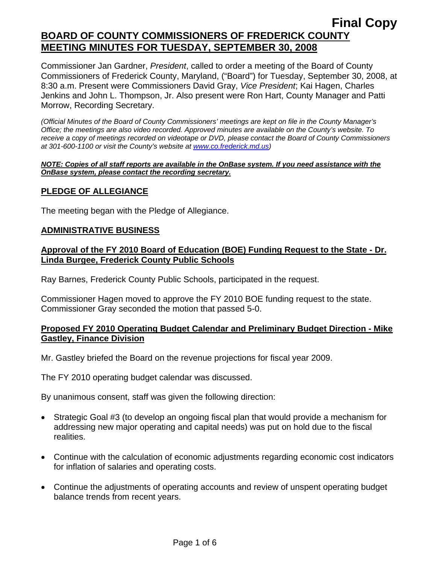Commissioner Jan Gardner, *President*, called to order a meeting of the Board of County Commissioners of Frederick County, Maryland, ("Board") for Tuesday, September 30, 2008, at 8:30 a.m. Present were Commissioners David Gray, *Vice President*; Kai Hagen, Charles Jenkins and John L. Thompson, Jr. Also present were Ron Hart, County Manager and Patti Morrow, Recording Secretary.

*(Official Minutes of the Board of County Commissioners' meetings are kept on file in the County Manager's Office; the meetings are also video recorded. Approved minutes are available on the County's website. To receive a copy of meetings recorded on videotape or DVD, please contact the Board of County Commissioners at 301-600-1100 or visit the County's website at [www.co.frederick.md.us\)](http://www.co.frederick.md.us/)* 

#### *NOTE: Copies of all staff reports are available in the OnBase system. If you need assistance with the OnBase system, please contact the recording secretary.*

# **PLEDGE OF ALLEGIANCE**

The meeting began with the Pledge of Allegiance.

## **ADMINISTRATIVE BUSINESS**

## **Approval of the FY 2010 Board of Education (BOE) Funding Request to the State - Dr. Linda Burgee, Frederick County Public Schools**

Ray Barnes, Frederick County Public Schools, participated in the request.

Commissioner Hagen moved to approve the FY 2010 BOE funding request to the state. Commissioner Gray seconded the motion that passed 5-0.

## **Proposed FY 2010 Operating Budget Calendar and Preliminary Budget Direction - Mike Gastley, Finance Division**

Mr. Gastley briefed the Board on the revenue projections for fiscal year 2009.

The FY 2010 operating budget calendar was discussed.

By unanimous consent, staff was given the following direction:

- Strategic Goal #3 (to develop an ongoing fiscal plan that would provide a mechanism for addressing new major operating and capital needs) was put on hold due to the fiscal realities.
- Continue with the calculation of economic adjustments regarding economic cost indicators for inflation of salaries and operating costs.
- Continue the adjustments of operating accounts and review of unspent operating budget balance trends from recent years.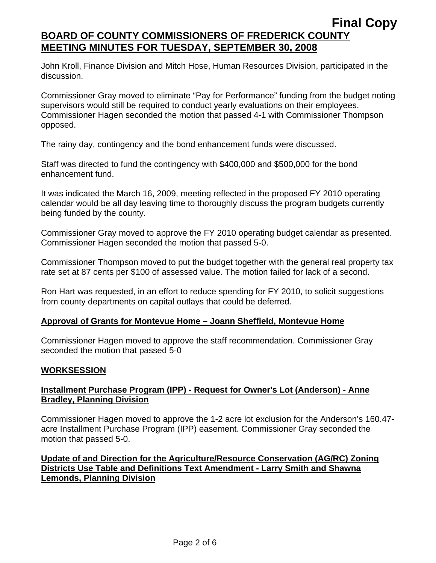John Kroll, Finance Division and Mitch Hose, Human Resources Division, participated in the discussion.

Commissioner Gray moved to eliminate "Pay for Performance" funding from the budget noting supervisors would still be required to conduct yearly evaluations on their employees. Commissioner Hagen seconded the motion that passed 4-1 with Commissioner Thompson opposed.

The rainy day, contingency and the bond enhancement funds were discussed.

Staff was directed to fund the contingency with \$400,000 and \$500,000 for the bond enhancement fund.

It was indicated the March 16, 2009, meeting reflected in the proposed FY 2010 operating calendar would be all day leaving time to thoroughly discuss the program budgets currently being funded by the county.

Commissioner Gray moved to approve the FY 2010 operating budget calendar as presented. Commissioner Hagen seconded the motion that passed 5-0.

Commissioner Thompson moved to put the budget together with the general real property tax rate set at 87 cents per \$100 of assessed value. The motion failed for lack of a second.

Ron Hart was requested, in an effort to reduce spending for FY 2010, to solicit suggestions from county departments on capital outlays that could be deferred.

## **Approval of Grants for Montevue Home – Joann Sheffield, Montevue Home**

Commissioner Hagen moved to approve the staff recommendation. Commissioner Gray seconded the motion that passed 5-0

### **WORKSESSION**

## **Installment Purchase Program (IPP) - Request for Owner's Lot (Anderson) - Anne Bradley, Planning Division**

Commissioner Hagen moved to approve the 1-2 acre lot exclusion for the Anderson's 160.47 acre Installment Purchase Program (IPP) easement. Commissioner Gray seconded the motion that passed 5-0.

# **Update of and Direction for the Agriculture/Resource Conservation (AG/RC) Zoning Districts Use Table and Definitions Text Amendment - Larry Smith and Shawna Lemonds, Planning Division**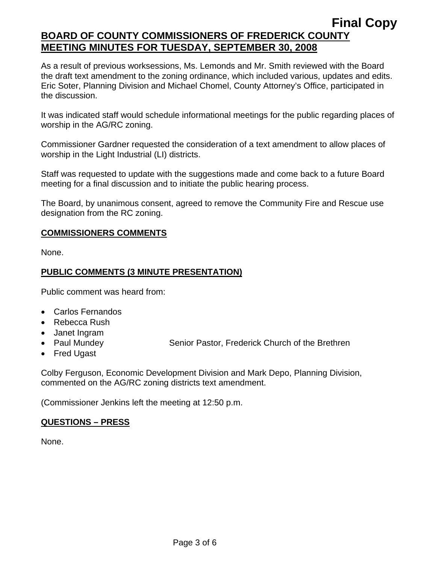As a result of previous worksessions, Ms. Lemonds and Mr. Smith reviewed with the Board the draft text amendment to the zoning ordinance, which included various, updates and edits. Eric Soter, Planning Division and Michael Chomel, County Attorney's Office, participated in the discussion.

It was indicated staff would schedule informational meetings for the public regarding places of worship in the AG/RC zoning.

Commissioner Gardner requested the consideration of a text amendment to allow places of worship in the Light Industrial (LI) districts.

Staff was requested to update with the suggestions made and come back to a future Board meeting for a final discussion and to initiate the public hearing process.

The Board, by unanimous consent, agreed to remove the Community Fire and Rescue use designation from the RC zoning.

# **COMMISSIONERS COMMENTS**

None.

# **PUBLIC COMMENTS (3 MINUTE PRESENTATION)**

Public comment was heard from:

- Carlos Fernandos
- Rebecca Rush
- Janet Ingram
- 

• Paul Mundey **Senior Pastor, Frederick Church of the Brethren** 

• Fred Ugast

Colby Ferguson, Economic Development Division and Mark Depo, Planning Division, commented on the AG/RC zoning districts text amendment.

(Commissioner Jenkins left the meeting at 12:50 p.m.

# **QUESTIONS – PRESS**

None.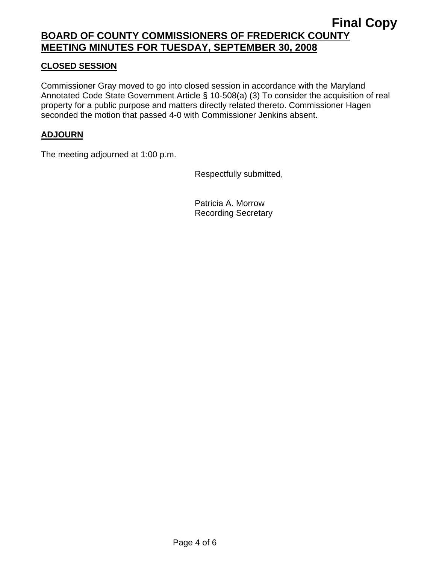# **CLOSED SESSION**

Commissioner Gray moved to go into closed session in accordance with the Maryland Annotated Code State Government Article § 10-508(a) (3) To consider the acquisition of real property for a public purpose and matters directly related thereto. Commissioner Hagen seconded the motion that passed 4-0 with Commissioner Jenkins absent.

# **ADJOURN**

The meeting adjourned at 1:00 p.m.

Respectfully submitted,

Patricia A. Morrow Recording Secretary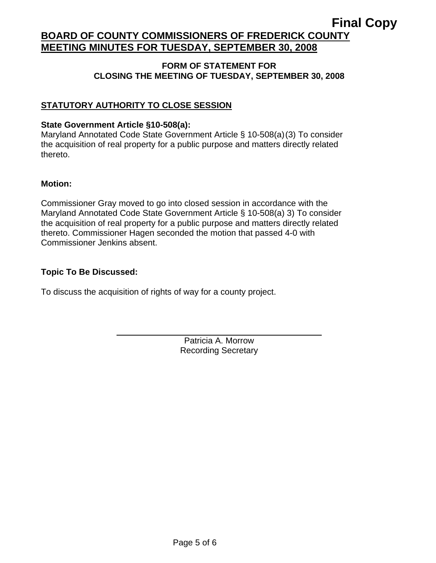# **Final Copy**

# **BOARD OF COUNTY COMMISSIONERS OF FREDERICK COUNTY MEETING MINUTES FOR TUESDAY, SEPTEMBER 30, 2008**

### **FORM OF STATEMENT FOR CLOSING THE MEETING OF TUESDAY, SEPTEMBER 30, 2008**

# **STATUTORY AUTHORITY TO CLOSE SESSION**

## **State Government Article §10-508(a):**

Maryland Annotated Code State Government Article § 10-508(a)(3) To consider the acquisition of real property for a public purpose and matters directly related thereto.

## **Motion:**

Commissioner Gray moved to go into closed session in accordance with the Maryland Annotated Code State Government Article § 10-508(a) 3) To consider the acquisition of real property for a public purpose and matters directly related thereto. Commissioner Hagen seconded the motion that passed 4-0 with Commissioner Jenkins absent.

# **Topic To Be Discussed:**

 $\overline{a}$ 

To discuss the acquisition of rights of way for a county project.

Patricia A. Morrow Recording Secretary